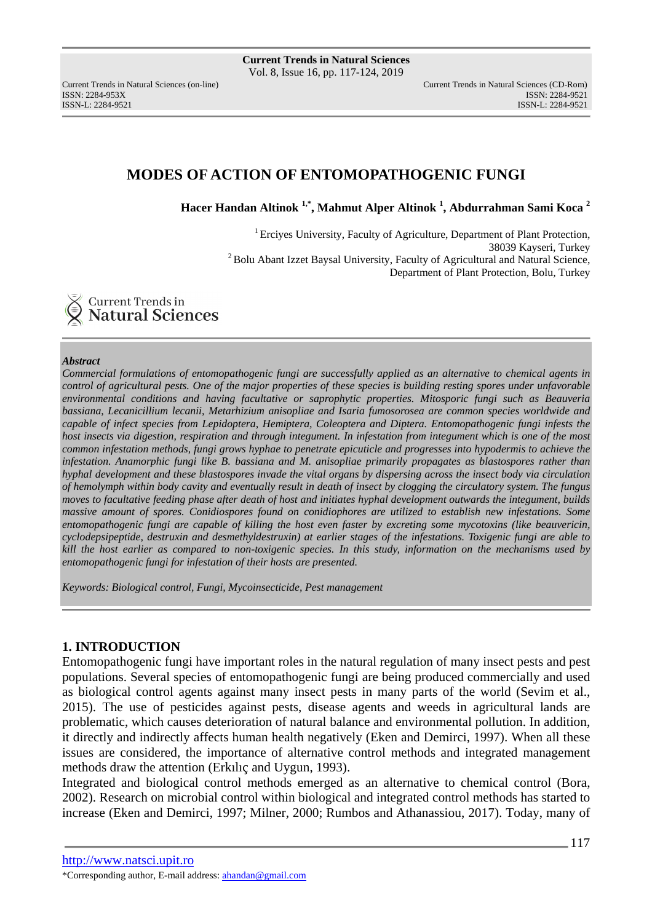ISSN: 2284-953XISSN: 2284-9521

# **MODES OF ACTION OF ENTOMOPATHOGENIC FUNGI**

**Hacer Handan Altinok 1,\*, Mahmut Alper Altinok <sup>1</sup> , Abdurrahman Sami Koca <sup>2</sup>**

<sup>1</sup> Ercives University, Faculty of Agriculture, Department of Plant Protection, 38039 Kayseri, Turkey <sup>2</sup> Bolu Abant Izzet Baysal University, Faculty of Agricultural and Natural Science, Department of Plant Protection, Bolu, Turkey



#### *Abstract*

*Commercial formulations of entomopathogenic fungi are successfully applied as an alternative to chemical agents in control of agricultural pests. One of the major properties of these species is building resting spores under unfavorable environmental conditions and having facultative or saprophytic properties. Mitosporic fungi such as Beauveria bassiana, Lecanicillium lecanii, Metarhizium anisopliae and Isaria fumosorosea are common species worldwide and capable of infect species from Lepidoptera, Hemiptera, Coleoptera and Diptera. Entomopathogenic fungi infests the host insects via digestion, respiration and through integument. In infestation from integument which is one of the most common infestation methods, fungi grows hyphae to penetrate epicuticle and progresses into hypodermis to achieve the infestation. Anamorphic fungi like B. bassiana and M. anisopliae primarily propagates as blastospores rather than hyphal development and these blastospores invade the vital organs by dispersing across the insect body via circulation of hemolymph within body cavity and eventually result in death of insect by clogging the circulatory system. The fungus moves to facultative feeding phase after death of host and initiates hyphal development outwards the integument, builds massive amount of spores. Conidiospores found on conidiophores are utilized to establish new infestations. Some entomopathogenic fungi are capable of killing the host even faster by excreting some mycotoxins (like beauvericin, cyclodepsipeptide, destruxin and desmethyldestruxin) at earlier stages of the infestations. Toxigenic fungi are able to kill the host earlier as compared to non-toxigenic species. In this study, information on the mechanisms used by entomopathogenic fungi for infestation of their hosts are presented.* 

*Keywords: Biological control, Fungi, Mycoinsecticide, Pest management* 

### **1. INTRODUCTION**

Entomopathogenic fungi have important roles in the natural regulation of many insect pests and pest populations. Several species of entomopathogenic fungi are being produced commercially and used as biological control agents against many insect pests in many parts of the world (Sevim et al., 2015). The use of pesticides against pests, disease agents and weeds in agricultural lands are problematic, which causes deterioration of natural balance and environmental pollution. In addition, it directly and indirectly affects human health negatively (Eken and Demirci, 1997). When all these issues are considered, the importance of alternative control methods and integrated management methods draw the attention (Erkılıç and Uygun, 1993).

Integrated and biological control methods emerged as an alternative to chemical control (Bora, 2002). Research on microbial control within biological and integrated control methods has started to increase (Eken and Demirci, 1997; Milner, 2000; Rumbos and Athanassiou, 2017). Today, many of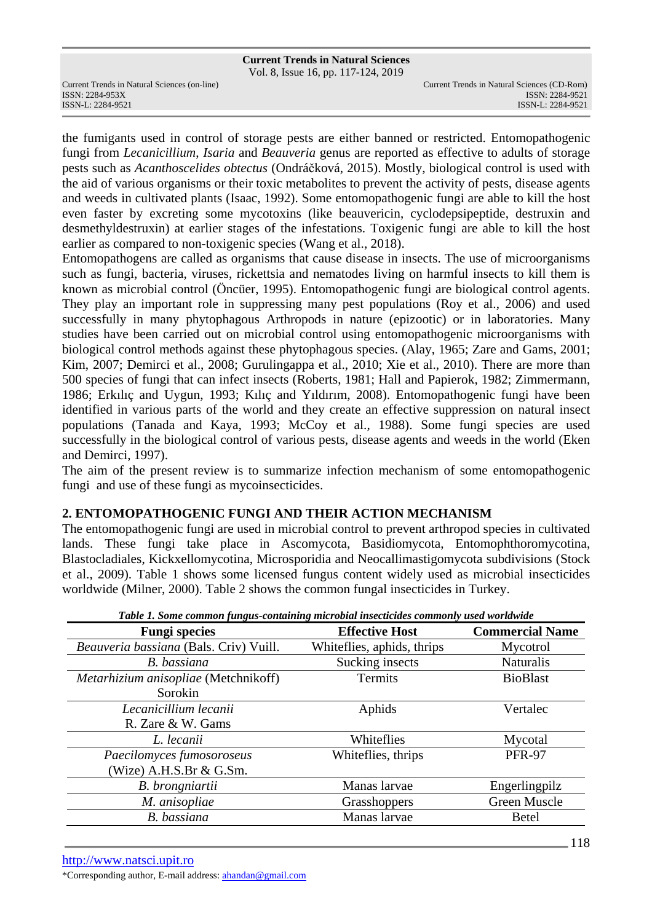Vol. 8, Issue 16, pp. 117-124, 2019

ISSN: 2284-953XISSN: 2284-9521

the fumigants used in control of storage pests are either banned or restricted. Entomopathogenic fungi from *Lecanicillium*, *Isaria* and *Beauveria* genus are reported as effective to adults of storage pests such as *Acanthoscelides obtectus* (Ondráčková, 2015). Mostly, biological control is used with the aid of various organisms or their toxic metabolites to prevent the activity of pests, disease agents and weeds in cultivated plants (Isaac, 1992). Some entomopathogenic fungi are able to kill the host even faster by excreting some mycotoxins (like beauvericin, cyclodepsipeptide, destruxin and desmethyldestruxin) at earlier stages of the infestations. Toxigenic fungi are able to kill the host earlier as compared to non-toxigenic species (Wang et al., 2018).

Entomopathogens are called as organisms that cause disease in insects. The use of microorganisms such as fungi, bacteria, viruses, rickettsia and nematodes living on harmful insects to kill them is known as microbial control (Öncüer, 1995). Entomopathogenic fungi are biological control agents. They play an important role in suppressing many pest populations (Roy et al., 2006) and used successfully in many phytophagous Arthropods in nature (epizootic) or in laboratories. Many studies have been carried out on microbial control using entomopathogenic microorganisms with biological control methods against these phytophagous species. (Alay, 1965; Zare and Gams, 2001; Kim, 2007; Demirci et al., 2008; Gurulingappa et al., 2010; Xie et al., 2010). There are more than 500 species of fungi that can infect insects (Roberts, 1981; Hall and Papierok, 1982; Zimmermann, 1986; Erkılıç and Uygun, 1993; Kılıç and Yıldırım, 2008). Entomopathogenic fungi have been identified in various parts of the world and they create an effective suppression on natural insect populations (Tanada and Kaya, 1993; McCoy et al., 1988). Some fungi species are used successfully in the biological control of various pests, disease agents and weeds in the world (Eken and Demirci, 1997).

The aim of the present review is to summarize infection mechanism of some entomopathogenic fungi and use of these fungi as mycoinsecticides.

## **2. ENTOMOPATHOGENIC FUNGI AND THEIR ACTION MECHANISM**

The entomopathogenic fungi are used in microbial control to prevent arthropod species in cultivated lands. These fungi take place in Ascomycota, Basidiomycota, Entomophthoromycotina, Blastocladiales, Kickxellomycotina, Microsporidia and Neocallimastigomycota subdivisions (Stock et al., 2009). Table 1 shows some licensed fungus content widely used as microbial insecticides worldwide (Milner, 2000). Table 2 shows the common fungal insecticides in Turkey.

| <b>Fungi species</b>                   | <b>Effective Host</b>      | <b>Commercial Name</b> |
|----------------------------------------|----------------------------|------------------------|
| Beauveria bassiana (Bals. Criv) Vuill. | Whiteflies, aphids, thrips | Mycotrol               |
| B. bassiana                            | Sucking insects            | <b>Naturalis</b>       |
| Metarhizium anisopliae (Metchnikoff)   | Termits                    | <b>BioBlast</b>        |
| Sorokin                                |                            |                        |
| Lecanicillium lecanii                  | Aphids                     | Vertalec               |
| R. Zare & W. Gams                      |                            |                        |
| L. lecanii                             | Whiteflies                 | Mycotal                |
| Paecilomyces fumosoroseus              | Whiteflies, thrips         | <b>PFR-97</b>          |
| (Wize) $A.H.S.Br \& G.Sm.$             |                            |                        |
| B. brongniartii                        | Manas larvae               | Engerlingpilz          |
| M. anisopliae                          | Grasshoppers               | Green Muscle           |
| B. bassiana                            | Manas larvae               | <b>Betel</b>           |

*Table 1. Some common fungus-containing microbial insecticides commonly used worldwide* 

\*Corresponding author, E-mail address: ahandan@gmail.com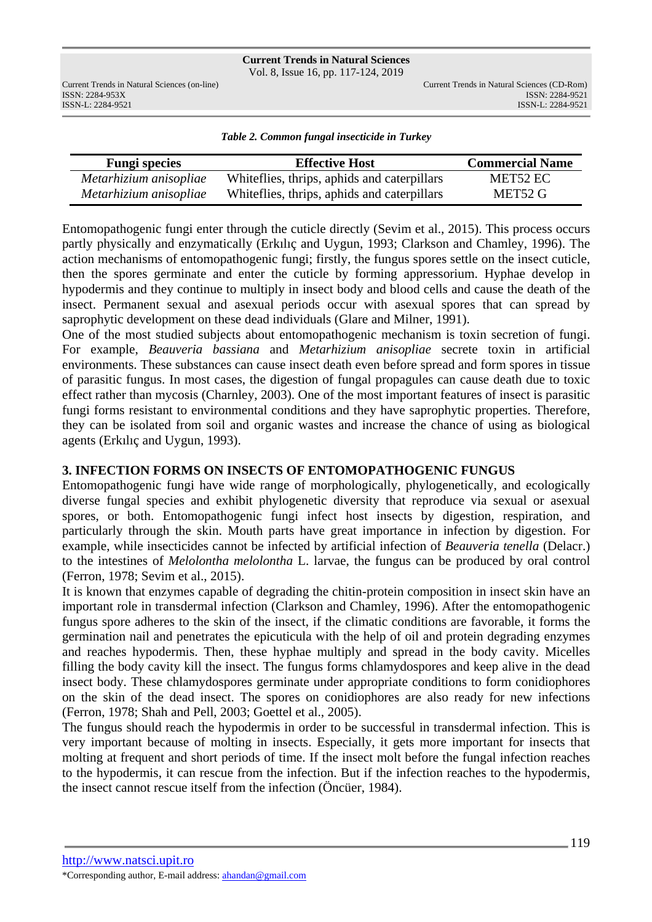Vol. 8, Issue 16, pp. 117-124, 2019

ISSN: 2284-953XISSN: 2284-9521

*Table 2. Common fungal insecticide in Turkey* 

| <b>Fungi species</b>   | <b>Effective Host</b>                        | <b>Commercial Name</b> |
|------------------------|----------------------------------------------|------------------------|
| Metarhizium anisopliae | White flies, thrips, aphids and caterpillars | MET52 EC               |
| Metarhizium anisopliae | White flies, thrips, aphids and caterpillars | MET52 G                |

Entomopathogenic fungi enter through the cuticle directly (Sevim et al., 2015). This process occurs partly physically and enzymatically (Erkılıç and Uygun, 1993; Clarkson and Chamley, 1996). The action mechanisms of entomopathogenic fungi; firstly, the fungus spores settle on the insect cuticle, then the spores germinate and enter the cuticle by forming appressorium. Hyphae develop in hypodermis and they continue to multiply in insect body and blood cells and cause the death of the insect. Permanent sexual and asexual periods occur with asexual spores that can spread by saprophytic development on these dead individuals (Glare and Milner, 1991).

One of the most studied subjects about entomopathogenic mechanism is toxin secretion of fungi. For example, *Beauveria bassiana* and *Metarhizium anisopliae* secrete toxin in artificial environments. These substances can cause insect death even before spread and form spores in tissue of parasitic fungus. In most cases, the digestion of fungal propagules can cause death due to toxic effect rather than mycosis (Charnley, 2003). One of the most important features of insect is parasitic fungi forms resistant to environmental conditions and they have saprophytic properties. Therefore, they can be isolated from soil and organic wastes and increase the chance of using as biological agents (Erkılıç and Uygun, 1993).

## **3. INFECTION FORMS ON INSECTS OF ENTOMOPATHOGENIC FUNGUS**

Entomopathogenic fungi have wide range of morphologically, phylogenetically, and ecologically diverse fungal species and exhibit phylogenetic diversity that reproduce via sexual or asexual spores, or both. Entomopathogenic fungi infect host insects by digestion, respiration, and particularly through the skin. Mouth parts have great importance in infection by digestion. For example, while insecticides cannot be infected by artificial infection of *Beauveria tenella* (Delacr.) to the intestines of *Melolontha melolontha* L. larvae, the fungus can be produced by oral control (Ferron, 1978; Sevim et al., 2015).

It is known that enzymes capable of degrading the chitin-protein composition in insect skin have an important role in transdermal infection (Clarkson and Chamley, 1996). After the entomopathogenic fungus spore adheres to the skin of the insect, if the climatic conditions are favorable, it forms the germination nail and penetrates the epicuticula with the help of oil and protein degrading enzymes and reaches hypodermis. Then, these hyphae multiply and spread in the body cavity. Micelles filling the body cavity kill the insect. The fungus forms chlamydospores and keep alive in the dead insect body. These chlamydospores germinate under appropriate conditions to form conidiophores on the skin of the dead insect. The spores on conidiophores are also ready for new infections (Ferron, 1978; Shah and Pell, 2003; Goettel et al., 2005).

The fungus should reach the hypodermis in order to be successful in transdermal infection. This is very important because of molting in insects. Especially, it gets more important for insects that molting at frequent and short periods of time. If the insect molt before the fungal infection reaches to the hypodermis, it can rescue from the infection. But if the infection reaches to the hypodermis, the insect cannot rescue itself from the infection (Öncüer, 1984).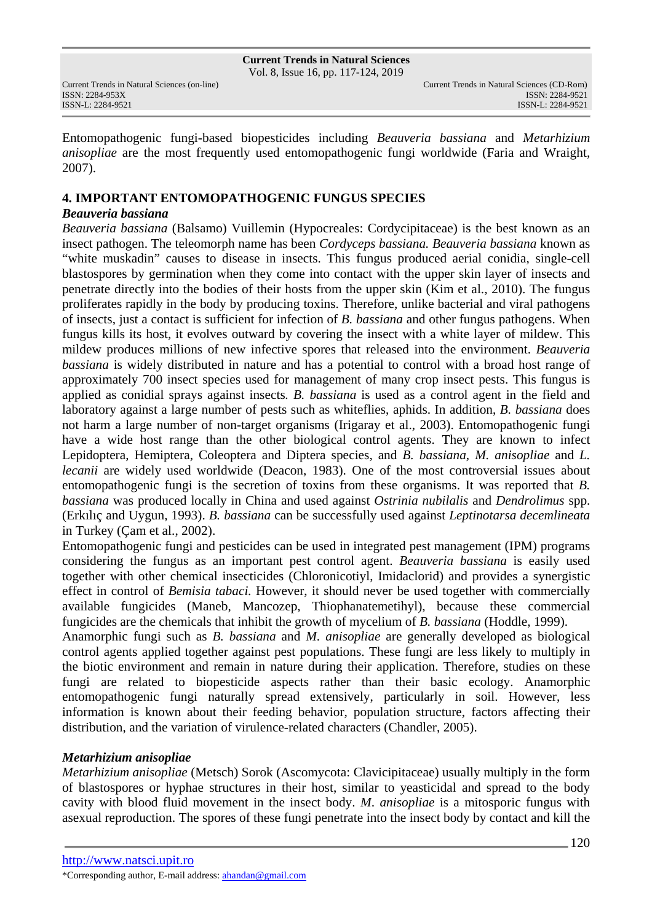#### **Current Trends in Natural Sciences** Vol. 8, Issue 16, pp. 117-124, 2019

ISSN: 2284-953XISSN: 2284-9521

Entomopathogenic fungi-based biopesticides including *Beauveria bassiana* and *Metarhizium anisopliae* are the most frequently used entomopathogenic fungi worldwide (Faria and Wraight, 2007).

## **4. IMPORTANT ENTOMOPATHOGENIC FUNGUS SPECIES**

## *Beauveria bassiana*

*Beauveria bassiana* (Balsamo) Vuillemin (Hypocreales: Cordycipitaceae) is the best known as an insect pathogen. The teleomorph name has been *Cordyceps bassiana. Beauveria bassiana* known as "white muskadin" causes to disease in insects. This fungus produced aerial conidia, single-cell blastospores by germination when they come into contact with the upper skin layer of insects and penetrate directly into the bodies of their hosts from the upper skin (Kim et al., 2010). The fungus proliferates rapidly in the body by producing toxins. Therefore, unlike bacterial and viral pathogens of insects, just a contact is sufficient for infection of *B. bassiana* and other fungus pathogens. When fungus kills its host, it evolves outward by covering the insect with a white layer of mildew. This mildew produces millions of new infective spores that released into the environment. *Beauveria bassiana* is widely distributed in nature and has a potential to control with a broad host range of approximately 700 insect species used for management of many crop insect pests. This fungus is applied as conidial sprays against insects*. B. bassiana* is used as a control agent in the field and laboratory against a large number of pests such as whiteflies, aphids. In addition, *B. bassiana* does not harm a large number of non-target organisms (Irigaray et al., 2003). Entomopathogenic fungi have a wide host range than the other biological control agents. They are known to infect Lepidoptera, Hemiptera, Coleoptera and Diptera species, and *B. bassiana, M. anisopliae* and *L. lecanii* are widely used worldwide (Deacon, 1983). One of the most controversial issues about entomopathogenic fungi is the secretion of toxins from these organisms. It was reported that *B. bassiana* was produced locally in China and used against *Ostrinia nubilalis* and *Dendrolimus* spp. (Erkılıç and Uygun, 1993). *B. bassiana* can be successfully used against *Leptinotarsa decemlineata* in Turkey (Çam et al., 2002).

Entomopathogenic fungi and pesticides can be used in integrated pest management (IPM) programs considering the fungus as an important pest control agent. *Beauveria bassiana* is easily used together with other chemical insecticides (Chloronicotiyl, Imidaclorid) and provides a synergistic effect in control of *Bemisia tabaci.* However, it should never be used together with commercially available fungicides (Maneb, Mancozep, Thiophanatemetihyl), because these commercial fungicides are the chemicals that inhibit the growth of mycelium of *B. bassiana* (Hoddle, 1999).

Anamorphic fungi such as *B. bassiana* and *M. anisopliae* are generally developed as biological control agents applied together against pest populations. These fungi are less likely to multiply in the biotic environment and remain in nature during their application. Therefore, studies on these fungi are related to biopesticide aspects rather than their basic ecology. Anamorphic entomopathogenic fungi naturally spread extensively, particularly in soil. However, less information is known about their feeding behavior, population structure, factors affecting their distribution, and the variation of virulence-related characters (Chandler, 2005).

## *Metarhizium anisopliae*

*Metarhizium anisopliae* (Metsch) Sorok (Ascomycota: Clavicipitaceae) usually multiply in the form of blastospores or hyphae structures in their host, similar to yeasticidal and spread to the body cavity with blood fluid movement in the insect body. *M*. *anisopliae* is a mitosporic fungus with asexual reproduction. The spores of these fungi penetrate into the insect body by contact and kill the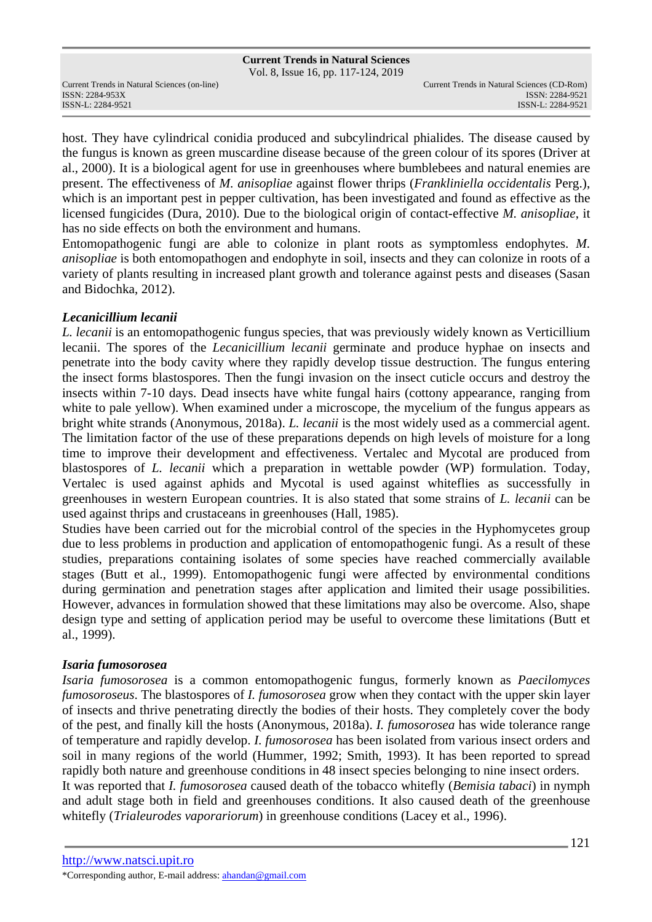Vol. 8, Issue 16, pp. 117-124, 2019

ISSN: 2284-953XISSN: 2284-9521

host. They have cylindrical conidia produced and subcylindrical phialides. The disease caused by the fungus is known as green muscardine disease because of the green colour of its spores (Driver at al., 2000). It is a biological agent for use in greenhouses where bumblebees and natural enemies are present. The effectiveness of *M. anisopliae* against flower thrips (*Frankliniella occidentalis* Perg.), which is an important pest in pepper cultivation, has been investigated and found as effective as the licensed fungicides (Dura, 2010). Due to the biological origin of contact-effective *M. anisopliae*, it has no side effects on both the environment and humans.

Entomopathogenic fungi are able to colonize in plant roots as symptomless endophytes. *M. anisopliae* is both entomopathogen and endophyte in soil, insects and they can colonize in roots of a variety of plants resulting in increased plant growth and tolerance against pests and diseases (Sasan and Bidochka, 2012).

### *Lecanicillium lecanii*

*L. lecanii* is an entomopathogenic fungus species, that was previously widely known as Verticillium lecanii. The spores of the *Lecanicillium lecanii* germinate and produce hyphae on insects and penetrate into the body cavity where they rapidly develop tissue destruction. The fungus entering the insect forms blastospores. Then the fungi invasion on the insect cuticle occurs and destroy the insects within 7-10 days. Dead insects have white fungal hairs (cottony appearance, ranging from white to pale yellow). When examined under a microscope, the mycelium of the fungus appears as bright white strands (Anonymous, 2018a). *L. lecanii* is the most widely used as a commercial agent. The limitation factor of the use of these preparations depends on high levels of moisture for a long time to improve their development and effectiveness. Vertalec and Mycotal are produced from blastospores of *L. lecanii* which a preparation in wettable powder (WP) formulation. Today, Vertalec is used against aphids and Mycotal is used against whiteflies as successfully in greenhouses in western European countries. It is also stated that some strains of *L. lecanii* can be used against thrips and crustaceans in greenhouses (Hall, 1985).

Studies have been carried out for the microbial control of the species in the Hyphomycetes group due to less problems in production and application of entomopathogenic fungi. As a result of these studies, preparations containing isolates of some species have reached commercially available stages (Butt et al., 1999). Entomopathogenic fungi were affected by environmental conditions during germination and penetration stages after application and limited their usage possibilities. However, advances in formulation showed that these limitations may also be overcome. Also, shape design type and setting of application period may be useful to overcome these limitations (Butt et al., 1999).

## *Isaria fumosorosea*

*Isaria fumosorosea* is a common entomopathogenic fungus, formerly known as *Paecilomyces fumosoroseus*. The blastospores of *I. fumosorosea* grow when they contact with the upper skin layer of insects and thrive penetrating directly the bodies of their hosts. They completely cover the body of the pest, and finally kill the hosts (Anonymous, 2018a). *I. fumosorosea* has wide tolerance range of temperature and rapidly develop. *I. fumosorosea* has been isolated from various insect orders and soil in many regions of the world (Hummer, 1992; Smith, 1993). It has been reported to spread rapidly both nature and greenhouse conditions in 48 insect species belonging to nine insect orders. It was reported that *I. fumosorosea* caused death of the tobacco whitefly (*Bemisia tabaci*) in nymph

and adult stage both in field and greenhouses conditions. It also caused death of the greenhouse whitefly (*Trialeurodes vaporariorum*) in greenhouse conditions (Lacey et al., 1996).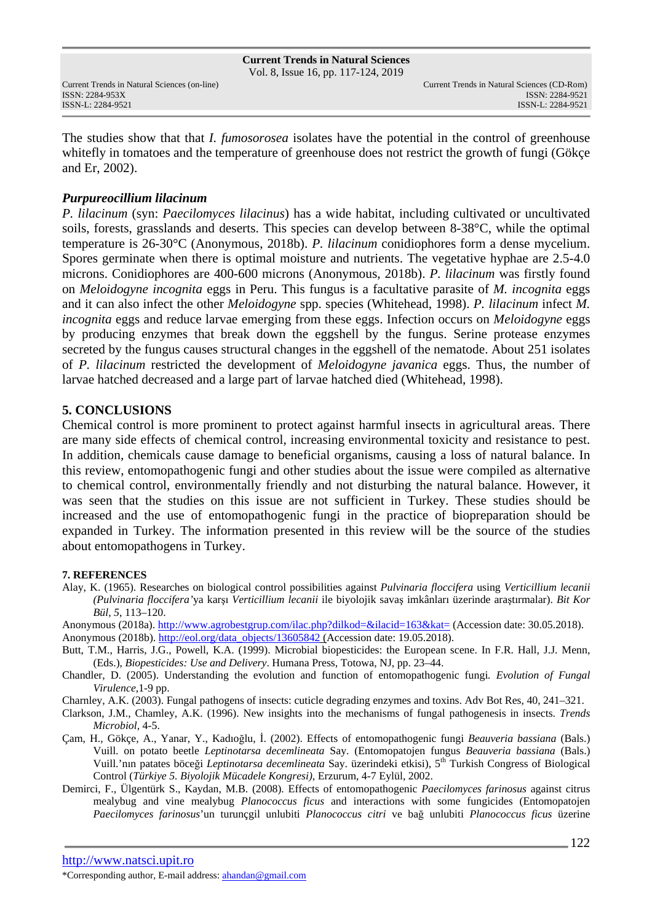ISSN: 2284-953XISSN: 2284-9521

The studies show that that *I. fumosorosea* isolates have the potential in the control of greenhouse whitefly in tomatoes and the temperature of greenhouse does not restrict the growth of fungi (Gökçe and Er, 2002).

### *Purpureocillium lilacinum*

*P. lilacinum* (syn: *Paecilomyces lilacinus*) has a wide habitat, including cultivated or uncultivated soils, forests, grasslands and deserts. This species can develop between 8-38°C, while the optimal temperature is 26-30°C (Anonymous, 2018b). *P. lilacinum* conidiophores form a dense mycelium. Spores germinate when there is optimal moisture and nutrients. The vegetative hyphae are 2.5-4.0 microns. Conidiophores are 400-600 microns (Anonymous, 2018b). *P. lilacinum* was firstly found on *Meloidogyne incognita* eggs in Peru. This fungus is a facultative parasite of *M. incognita* eggs and it can also infect the other *Meloidogyne* spp. species (Whitehead, 1998). *P. lilacinum* infect *M. incognita* eggs and reduce larvae emerging from these eggs. Infection occurs on *Meloidogyne* eggs by producing enzymes that break down the eggshell by the fungus. Serine protease enzymes secreted by the fungus causes structural changes in the eggshell of the nematode. About 251 isolates of *P. lilacinum* restricted the development of *Meloidogyne javanica* eggs. Thus, the number of larvae hatched decreased and a large part of larvae hatched died (Whitehead, 1998).

### **5. CONCLUSIONS**

Chemical control is more prominent to protect against harmful insects in agricultural areas. There are many side effects of chemical control, increasing environmental toxicity and resistance to pest. In addition, chemicals cause damage to beneficial organisms, causing a loss of natural balance. In this review, entomopathogenic fungi and other studies about the issue were compiled as alternative to chemical control, environmentally friendly and not disturbing the natural balance. However, it was seen that the studies on this issue are not sufficient in Turkey. These studies should be increased and the use of entomopathogenic fungi in the practice of biopreparation should be expanded in Turkey. The information presented in this review will be the source of the studies about entomopathogens in Turkey.

#### **7. REFERENCES**

Alay, K. (1965). Researches on biological control possibilities against *Pulvinaria floccifera* using *Verticillium lecanii (Pulvinaria floccifera'*ya karşı *Verticillium lecanii* ile biyolojik savaş imkânları üzerinde araştırmalar). *Bit Kor Bül, 5*, 113–120.

Anonymous (2018a). http://www.agrobestgrup.com/ilac.php?dilkod=&ilacid=163&kat= (Accession date: 30.05.2018).

Anonymous (2018b). http://eol.org/data\_objects/13605842 (Accession date: 19.05.2018).

- Butt, T.M., Harris, J.G., Powell, K.A. (1999). Microbial biopesticides: the European scene. In F.R. Hall, J.J. Menn, (Eds.), *Biopesticides: Use and Delivery*. Humana Press, Totowa, NJ, pp. 23–44.
- Chandler, D. (2005). Understanding the evolution and function of entomopathogenic fungi*. Evolution of Fungal Virulence*,1-9 pp.

Charnley, A.K. (2003). Fungal pathogens of insects: cuticle degrading enzymes and toxins. Adv Bot Res, 40, 241–321.

Clarkson, J.M., Chamley, A.K. (1996). New insights into the mechanisms of fungal pathogenesis in insects. *Trends Microbiol,* 4-5.

Çam, H., Gökçe, A., Yanar, Y., Kadıoğlu, İ. (2002). Effects of entomopathogenic fungi *Beauveria bassiana* (Bals.) Vuill. on potato beetle *Leptinotarsa decemlineata* Say. (Entomopatojen fungus *Beauveria bassiana* (Bals.) Vuill.'nın patates böceği *Leptinotarsa decemlineata* Say. üzerindeki etkisi), 5th Turkish Congress of Biological Control (*Türkiye 5. Biyolojik Mücadele Kongresi)*, Erzurum, 4-7 Eylül, 2002.

Demirci, F., Ülgentürk S., Kaydan, M.B. (2008). Effects of entomopathogenic *Paecilomyces farinosus* against citrus mealybug and vine mealybug *Planococcus ficus* and interactions with some fungicides (Entomopatojen *Paecilomyces farinosus*'un turunçgil unlubiti *Planococcus citri* ve bağ unlubiti *Planococcus ficus* üzerine

<sup>\*</sup>Corresponding author, E-mail address: ahandan@gmail.com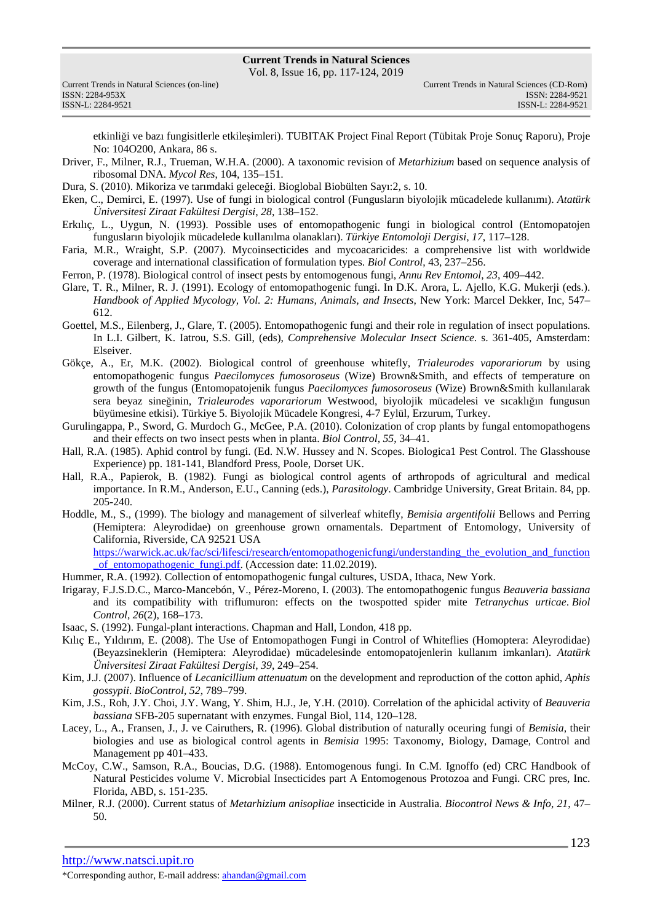Vol. 8, Issue 16, pp. 117-124, 2019

| Current Trends in Natural Sciences (on-line) |
|----------------------------------------------|
| ISSN: 2284-953X                              |
| ISSN-L: 2284-9521                            |

etkinliği ve bazı fungisitlerle etkileşimleri). TUBITAK Project Final Report (Tübitak Proje Sonuç Raporu), Proje No: 104O200, Ankara, 86 s.

- Driver, F., Milner, R.J., Trueman, W.H.A. (2000). A taxonomic revision of *Metarhizium* based on sequence analysis of ribosomal DNA. *Mycol Res*, 104, 135–151.
- Dura, S. (2010). Mikoriza ve tarımdaki geleceği. Bioglobal Biobülten Sayı:2, s. 10.
- Eken, C., Demirci, E. (1997). Use of fungi in biological control (Fungusların biyolojik mücadelede kullanımı). *Atatürk Üniversitesi Ziraat Fakültesi Dergisi*, *28*, 138–152.
- Erkılıç, L., Uygun, N. (1993). Possible uses of entomopathogenic fungi in biological control (Entomopatojen fungusların biyolojik mücadelede kullanılma olanakları). *Türkiye Entomoloji Dergisi*, *17*, 117–128.
- Faria, M.R., Wraight, S.P. (2007). Mycoinsecticides and mycoacaricides: a comprehensive list with worldwide coverage and international classification of formulation types. *Biol Control*, 43, 237–256.
- Ferron, P. (1978). Biological control of insect pests by entomogenous fungi, *Annu Rev Entomol*, *23*, 409–442.
- Glare, T. R., Milner, R. J. (1991). Ecology of entomopathogenic fungi. In D.K. Arora, L. Ajello, K.G. Mukerji (eds.). *Handbook of Applied Mycology, Vol. 2: Humans, Animals, and Insects*, New York: Marcel Dekker, Inc, 547– 612.
- Goettel, M.S., Eilenberg, J., Glare, T. (2005). Entomopathogenic fungi and their role in regulation of insect populations. In L.I. Gilbert, K. Iatrou, S.S. Gill, (eds), *Comprehensive Molecular Insect Science*. s. 361-405, Amsterdam: Elseiver.
- Gökçe, A., Er, M.K. (2002). Biological control of greenhouse whitefly, *Trialeurodes vaporariorum* by using entomopathogenic fungus *Paecilomyces fumosoroseus* (Wize) Brown&Smith, and effects of temperature on growth of the fungus (Entomopatojenik fungus *Paecilomyces fumosoroseus* (Wize) Brown&Smith kullanılarak sera beyaz sineğinin, *Trialeurodes vaporariorum* Westwood, biyolojik mücadelesi ve sıcaklığın fungusun büyümesine etkisi). Türkiye 5. Biyolojik Mücadele Kongresi, 4-7 Eylül, Erzurum, Turkey.
- Gurulingappa, P., Sword, G. Murdoch G., McGee, P.A. (2010). Colonization of crop plants by fungal entomopathogens and their effects on two insect pests when in planta. *Biol Control, 55*, 34–41.
- Hall, R.A. (1985). Aphid control by fungi. (Ed. N.W. Hussey and N. Scopes. Biologica1 Pest Control. The Glasshouse Experience) pp. 181-141, Blandford Press, Poole, Dorset UK.
- Hall, R.A., Papierok, B. (1982). Fungi as biological control agents of arthropods of agricultural and medical importance. In R.M., Anderson, E.U., Canning (eds.), *Parasitology*. Cambridge University, Great Britain. 84, pp. 205-240.
- Hoddle, M., S., (1999). The biology and management of silverleaf whitefly, *Bemisia argentifolii* Bellows and Perring (Hemiptera: Aleyrodidae) on greenhouse grown ornamentals. Department of Entomology, University of California, Riverside, CA 92521 USA

https://warwick.ac.uk/fac/sci/lifesci/research/entomopathogenicfungi/understanding\_the\_evolution\_and\_function \_of\_entomopathogenic\_fungi.pdf. (Accession date: 11.02.2019).

- Hummer, R.A. (1992). Collection of entomopathogenic fungal cultures, USDA, Ithaca, New York.
- Irigaray, F.J.S.D.C., Marco-Mancebón, V., Pérez-Moreno, I. (2003). The entomopathogenic fungus *Beauveria bassiana* and its compatibility with triflumuron: effects on the twospotted spider mite *Tetranychus urticae*. *Biol Control*, *26*(2), 168–173.
- Isaac, S. (1992). Fungal-plant interactions. Chapman and Hall, London, 418 pp.
- Kılıç E., Yıldırım, E. (2008). The Use of Entomopathogen Fungi in Control of Whiteflies (Homoptera: Aleyrodidae) (Beyazsineklerin (Hemiptera: Aleyrodidae) mücadelesinde entomopatojenlerin kullanım imkanları). *Atatürk Üniversitesi Ziraat Fakültesi Dergisi*, *39*, 249–254.
- Kim, J.J. (2007). Influence of *Lecanicillium attenuatum* on the development and reproduction of the cotton aphid, *Aphis gossypii*. *BioControl, 52*, 789–799.
- Kim, J.S., Roh, J.Y. Choi, J.Y. Wang, Y. Shim, H.J., Je, Y.H. (2010). Correlation of the aphicidal activity of *Beauveria bassiana* SFB-205 supernatant with enzymes. Fungal Biol, 114, 120–128.
- Lacey, L., A., Fransen, J., J. ve Cairuthers, R. (1996). Global distribution of naturally oceuring fungi of *Bemisia*, their biologies and use as biological control agents in *Bemisia* 1995: Taxonomy, Biology, Damage, Control and Management pp 401–433.
- McCoy, C.W., Samson, R.A., Boucias, D.G. (1988). Entomogenous fungi. In C.M. Ignoffo (ed) CRC Handbook of Natural Pesticides volume V. Microbial Insecticides part A Entomogenous Protozoa and Fungi. CRC pres, Inc. Florida, ABD, s. 151-235.
- Milner, R.J. (2000). Current status of *Metarhizium anisopliae* insecticide in Australia. *Biocontrol News & Info*, *21*, 47– 50.